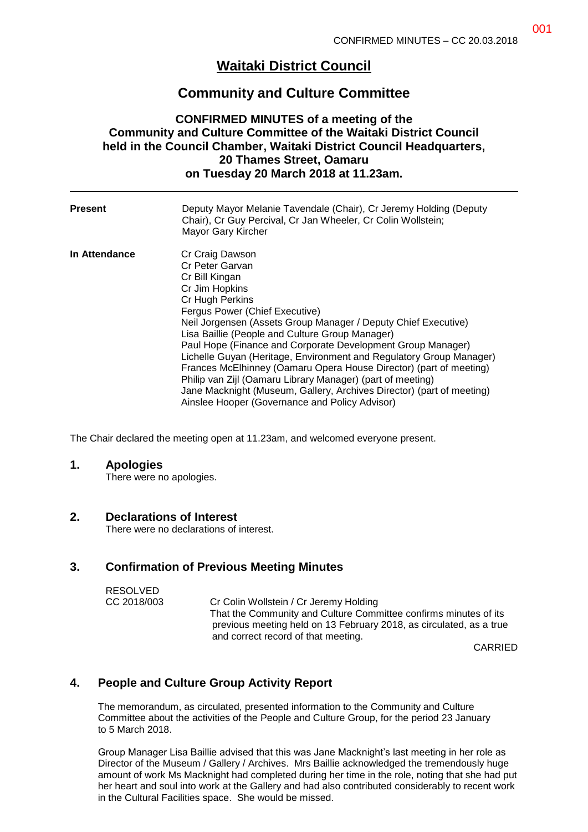# **Waitaki District Council**

## **Community and Culture Committee**

## **CONFIRMED MINUTES of a meeting of the Community and Culture Committee of the Waitaki District Council held in the Council Chamber, Waitaki District Council Headquarters, 20 Thames Street, Oamaru on Tuesday 20 March 2018 at 11.23am.**

| <b>Present</b> | Deputy Mayor Melanie Tavendale (Chair), Cr Jeremy Holding (Deputy<br>Chair), Cr Guy Percival, Cr Jan Wheeler, Cr Colin Wollstein;<br>Mayor Gary Kircher                                                                                                                                                                                                                                                                                                                                                                                                                                                                                               |
|----------------|-------------------------------------------------------------------------------------------------------------------------------------------------------------------------------------------------------------------------------------------------------------------------------------------------------------------------------------------------------------------------------------------------------------------------------------------------------------------------------------------------------------------------------------------------------------------------------------------------------------------------------------------------------|
| In Attendance  | Cr Craig Dawson<br>Cr Peter Garvan<br>Cr Bill Kingan<br>Cr Jim Hopkins<br>Cr Hugh Perkins<br>Fergus Power (Chief Executive)<br>Neil Jorgensen (Assets Group Manager / Deputy Chief Executive)<br>Lisa Baillie (People and Culture Group Manager)<br>Paul Hope (Finance and Corporate Development Group Manager)<br>Lichelle Guyan (Heritage, Environment and Regulatory Group Manager)<br>Frances McElhinney (Oamaru Opera House Director) (part of meeting)<br>Philip van Zijl (Oamaru Library Manager) (part of meeting)<br>Jane Macknight (Museum, Gallery, Archives Director) (part of meeting)<br>Ainslee Hooper (Governance and Policy Advisor) |

The Chair declared the meeting open at 11.23am, and welcomed everyone present.

#### **1. Apologies**

There were no apologies.

### **2. Declarations of Interest**

There were no declarations of interest.

### **3. Confirmation of Previous Meeting Minutes**

| <b>RESOLVED</b> |                                                                     |
|-----------------|---------------------------------------------------------------------|
| CC 2018/003     | Cr Colin Wollstein / Cr Jeremy Holding                              |
|                 | That the Community and Culture Committee confirms minutes of its    |
|                 | previous meeting held on 13 February 2018, as circulated, as a true |
|                 | and correct record of that meeting.                                 |

CARRIED

## **4. People and Culture Group Activity Report**

The memorandum, as circulated, presented information to the Community and Culture Committee about the activities of the People and Culture Group, for the period 23 January to 5 March 2018.

Group Manager Lisa Baillie advised that this was Jane Macknight's last meeting in her role as Director of the Museum / Gallery / Archives. Mrs Baillie acknowledged the tremendously huge amount of work Ms Macknight had completed during her time in the role, noting that she had put her heart and soul into work at the Gallery and had also contributed considerably to recent work in the Cultural Facilities space. She would be missed.